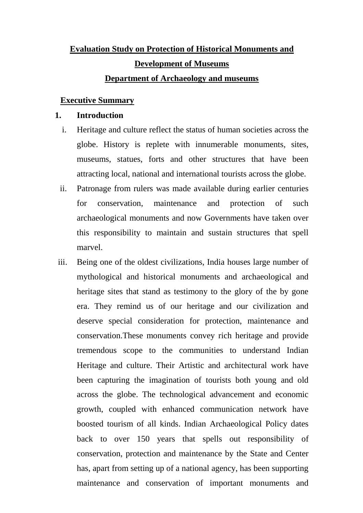# **Evaluation Study on Protection of Historical Monuments and Development of Museums Department of Archaeology and museums**

# **Executive Summary**

# **1. Introduction**

- i. Heritage and culture reflect the status of human societies across the globe. History is replete with innumerable monuments, sites, museums, statues, forts and other structures that have been attracting local, national and international tourists across the globe.
- ii. Patronage from rulers was made available during earlier centuries for conservation, maintenance and protection of such archaeological monuments and now Governments have taken over this responsibility to maintain and sustain structures that spell marvel.
- iii. Being one of the oldest civilizations, India houses large number of mythological and historical monuments and archaeological and heritage sites that stand as testimony to the glory of the by gone era. They remind us of our heritage and our civilization and deserve special consideration for protection, maintenance and conservation.These monuments convey rich heritage and provide tremendous scope to the communities to understand Indian Heritage and culture. Their Artistic and architectural work have been capturing the imagination of tourists both young and old across the globe. The technological advancement and economic growth, coupled with enhanced communication network have boosted tourism of all kinds. Indian Archaeological Policy dates back to over 150 years that spells out responsibility of conservation, protection and maintenance by the State and Center has, apart from setting up of a national agency, has been supporting maintenance and conservation of important monuments and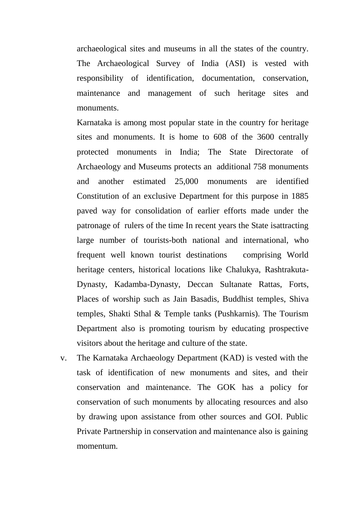archaeological sites and museums in all the states of the country. The Archaeological Survey of India (ASI) is vested with responsibility of identification, documentation, conservation, maintenance and management of such heritage sites and monuments.

Karnataka is among most popular state in the country for heritage sites and monuments. It is home to 608 of the 3600 centrally protected monuments in India; The State Directorate of Archaeology and Museums protects an additional 758 monuments and another estimated 25,000 monuments are identified Constitution of an exclusive Department for this purpose in 1885 paved way for consolidation of earlier efforts made under the patronage of rulers of the time In recent years the State isattracting large number of tourists-both national and international, who frequent well known tourist destinations comprising World heritage centers, historical locations like Chalukya, Rashtrakuta-Dynasty, Kadamba-Dynasty, Deccan Sultanate Rattas, Forts, Places of worship such as Jain Basadis, Buddhist temples, Shiva temples, Shakti Sthal & Temple tanks (Pushkarnis). The Tourism Department also is promoting tourism by educating prospective visitors about the heritage and culture of the state.

v. The Karnataka Archaeology Department (KAD) is vested with the task of identification of new monuments and sites, and their conservation and maintenance. The GOK has a policy for conservation of such monuments by allocating resources and also by drawing upon assistance from other sources and GOI. Public Private Partnership in conservation and maintenance also is gaining momentum.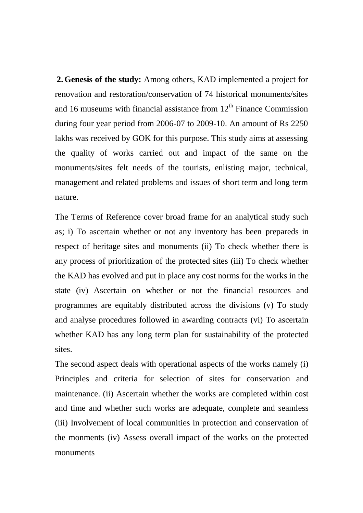**2.Genesis of the study:** Among others, KAD implemented a project for renovation and restoration/conservation of 74 historical monuments/sites and 16 museums with financial assistance from  $12<sup>th</sup>$  Finance Commission during four year period from 2006-07 to 2009-10. An amount of Rs 2250 lakhs was received by GOK for this purpose. This study aims at assessing the quality of works carried out and impact of the same on the monuments/sites felt needs of the tourists, enlisting major, technical, management and related problems and issues of short term and long term nature.

The Terms of Reference cover broad frame for an analytical study such as; i) To ascertain whether or not any inventory has been prepareds in respect of heritage sites and monuments (ii) To check whether there is any process of prioritization of the protected sites (iii) To check whether the KAD has evolved and put in place any cost norms for the works in the state (iv) Ascertain on whether or not the financial resources and programmes are equitably distributed across the divisions (v) To study and analyse procedures followed in awarding contracts (vi) To ascertain whether KAD has any long term plan for sustainability of the protected sites.

The second aspect deals with operational aspects of the works namely (i) Principles and criteria for selection of sites for conservation and maintenance. (ii) Ascertain whether the works are completed within cost and time and whether such works are adequate, complete and seamless (iii) Involvement of local communities in protection and conservation of the monments (iv) Assess overall impact of the works on the protected monuments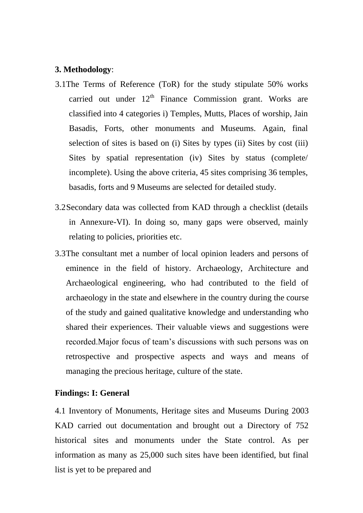## **3. Methodology**:

- 3.1The Terms of Reference (ToR) for the study stipulate 50% works carried out under  $12<sup>th</sup>$  Finance Commission grant. Works are classified into 4 categories i) Temples, Mutts, Places of worship, Jain Basadis, Forts, other monuments and Museums. Again, final selection of sites is based on (i) Sites by types (ii) Sites by cost (iii) Sites by spatial representation (iv) Sites by status (complete/ incomplete). Using the above criteria, 45 sites comprising 36 temples, basadis, forts and 9 Museums are selected for detailed study.
- 3.2Secondary data was collected from KAD through a checklist (details in Annexure-VI). In doing so, many gaps were observed, mainly relating to policies, priorities etc.
- 3.3The consultant met a number of local opinion leaders and persons of eminence in the field of history. Archaeology, Architecture and Archaeological engineering, who had contributed to the field of archaeology in the state and elsewhere in the country during the course of the study and gained qualitative knowledge and understanding who shared their experiences. Their valuable views and suggestions were recorded.Major focus of team"s discussions with such persons was on retrospective and prospective aspects and ways and means of managing the precious heritage, culture of the state.

#### **Findings: I: General**

4.1 Inventory of Monuments, Heritage sites and Museums During 2003 KAD carried out documentation and brought out a Directory of 752 historical sites and monuments under the State control. As per information as many as 25,000 such sites have been identified, but final list is yet to be prepared and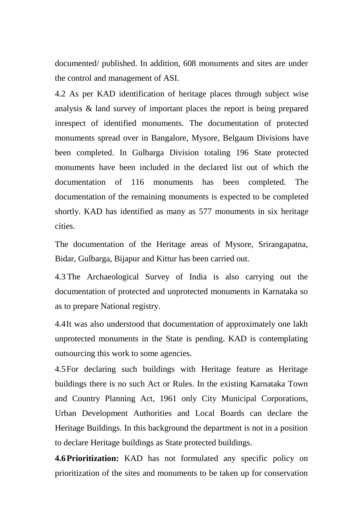documented/ published. In addition, 608 monuments and sites are under the control and management of ASI.

4.2 As per KAD identification of heritage places through subject wise analysis & land survey of important places the report is being prepared inrespect of identified monuments. The documentation of protected monuments spread over in Bangalore, Mysore, Belgaum Divisions have been completed. In Gulbarga Division totaling 196 State protected monuments have been included in the declared list out of which the documentation of 116 monuments has been completed. The documentation of the remaining monuments is expected to be completed shortly. KAD has identified as many as 577 monuments in six heritage cities.

The documentation of the Heritage areas of Mysore, Srirangapatna, Bidar, Gulbarga, Bijapur and Kittur has been carried out.

4.3 The Archaeological Survey of India is also carrying out the documentation of protected and unprotected monuments in Karnataka so as to prepare National registry.

4.4It was also understood that documentation of approximately one lakh unprotected monuments in the State is pending. KAD is contemplating outsourcing this work to some agencies.

4.5For declaring such buildings with Heritage feature as Heritage buildings there is no such Act or Rules. In the existing Karnataka Town and Country Planning Act, 1961 only City Municipal Corporations, Urban Development Authorities and Local Boards can declare the Heritage Buildings. In this background the department is not in a position to declare Heritage buildings as State protected buildings.

**4.6Prioritization:** KAD has not formulated any specific policy on prioritization of the sites and monuments to be taken up for conservation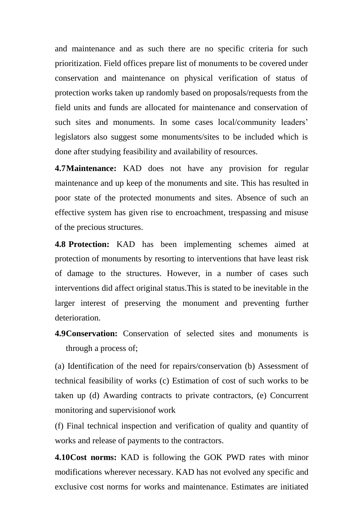and maintenance and as such there are no specific criteria for such prioritization. Field offices prepare list of monuments to be covered under conservation and maintenance on physical verification of status of protection works taken up randomly based on proposals/requests from the field units and funds are allocated for maintenance and conservation of such sites and monuments. In some cases local/community leaders' legislators also suggest some monuments/sites to be included which is done after studying feasibility and availability of resources.

**4.7Maintenance:** KAD does not have any provision for regular maintenance and up keep of the monuments and site. This has resulted in poor state of the protected monuments and sites. Absence of such an effective system has given rise to encroachment, trespassing and misuse of the precious structures.

**4.8 Protection:** KAD has been implementing schemes aimed at protection of monuments by resorting to interventions that have least risk of damage to the structures. However, in a number of cases such interventions did affect original status.This is stated to be inevitable in the larger interest of preserving the monument and preventing further deterioration.

**4.9 Conservation:** Conservation of selected sites and monuments is through a process of;

(a) Identification of the need for repairs/conservation (b) Assessment of technical feasibility of works (c) Estimation of cost of such works to be taken up (d) Awarding contracts to private contractors, (e) Concurrent monitoring and supervisionof work

(f) Final technical inspection and verification of quality and quantity of works and release of payments to the contractors.

**4.10Cost norms:** KAD is following the GOK PWD rates with minor modifications wherever necessary. KAD has not evolved any specific and exclusive cost norms for works and maintenance. Estimates are initiated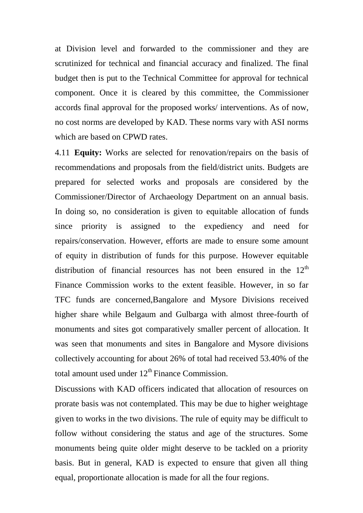at Division level and forwarded to the commissioner and they are scrutinized for technical and financial accuracy and finalized. The final budget then is put to the Technical Committee for approval for technical component. Once it is cleared by this committee, the Commissioner accords final approval for the proposed works/ interventions. As of now, no cost norms are developed by KAD. These norms vary with ASI norms which are based on CPWD rates.

4.11 **Equity:** Works are selected for renovation/repairs on the basis of recommendations and proposals from the field/district units. Budgets are prepared for selected works and proposals are considered by the Commissioner/Director of Archaeology Department on an annual basis. In doing so, no consideration is given to equitable allocation of funds since priority is assigned to the expediency and need for repairs/conservation. However, efforts are made to ensure some amount of equity in distribution of funds for this purpose. However equitable distribution of financial resources has not been ensured in the  $12<sup>th</sup>$ Finance Commission works to the extent feasible. However, in so far TFC funds are concerned,Bangalore and Mysore Divisions received higher share while Belgaum and Gulbarga with almost three-fourth of monuments and sites got comparatively smaller percent of allocation. It was seen that monuments and sites in Bangalore and Mysore divisions collectively accounting for about 26% of total had received 53.40% of the total amount used under  $12<sup>th</sup>$  Finance Commission.

Discussions with KAD officers indicated that allocation of resources on prorate basis was not contemplated. This may be due to higher weightage given to works in the two divisions. The rule of equity may be difficult to follow without considering the status and age of the structures. Some monuments being quite older might deserve to be tackled on a priority basis. But in general, KAD is expected to ensure that given all thing equal, proportionate allocation is made for all the four regions.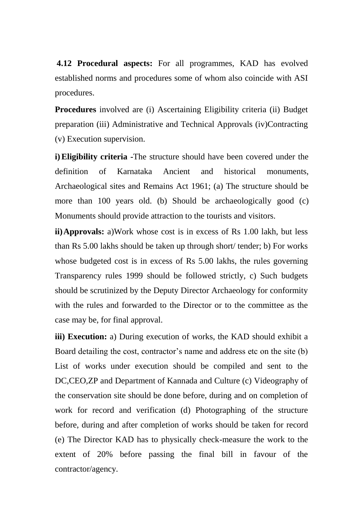**4.12 Procedural aspects:** For all programmes, KAD has evolved established norms and procedures some of whom also coincide with ASI procedures.

**Procedures** involved are (i) Ascertaining Eligibility criteria (ii) Budget preparation (iii) Administrative and Technical Approvals (iv)Contracting (v) Execution supervision.

**i)Eligibility criteria -**The structure should have been covered under the definition of Karnataka Ancient and historical monuments, Archaeological sites and Remains Act 1961; (a) The structure should be more than 100 years old. (b) Should be archaeologically good (c) Monuments should provide attraction to the tourists and visitors.

**ii)Approvals:** a)Work whose cost is in excess of Rs 1.00 lakh, but less than Rs 5.00 lakhs should be taken up through short/ tender; b) For works whose budgeted cost is in excess of Rs 5.00 lakhs, the rules governing Transparency rules 1999 should be followed strictly, c) Such budgets should be scrutinized by the Deputy Director Archaeology for conformity with the rules and forwarded to the Director or to the committee as the case may be, for final approval.

**iii) Execution:** a) During execution of works, the KAD should exhibit a Board detailing the cost, contractor's name and address etc on the site (b) List of works under execution should be compiled and sent to the DC,CEO,ZP and Department of Kannada and Culture (c) Videography of the conservation site should be done before, during and on completion of work for record and verification (d) Photographing of the structure before, during and after completion of works should be taken for record (e) The Director KAD has to physically check-measure the work to the extent of 20% before passing the final bill in favour of the contractor/agency.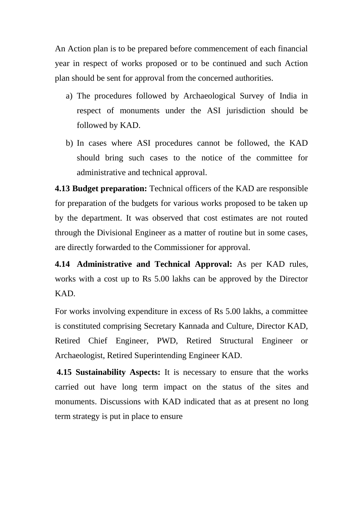An Action plan is to be prepared before commencement of each financial year in respect of works proposed or to be continued and such Action plan should be sent for approval from the concerned authorities.

- a) The procedures followed by Archaeological Survey of India in respect of monuments under the ASI jurisdiction should be followed by KAD.
- b) In cases where ASI procedures cannot be followed, the KAD should bring such cases to the notice of the committee for administrative and technical approval.

**4.13 Budget preparation:** Technical officers of the KAD are responsible for preparation of the budgets for various works proposed to be taken up by the department. It was observed that cost estimates are not routed through the Divisional Engineer as a matter of routine but in some cases, are directly forwarded to the Commissioner for approval.

**4.14 Administrative and Technical Approval:** As per KAD rules, works with a cost up to Rs 5.00 lakhs can be approved by the Director KAD.

For works involving expenditure in excess of Rs 5.00 lakhs, a committee is constituted comprising Secretary Kannada and Culture, Director KAD, Retired Chief Engineer, PWD, Retired Structural Engineer or Archaeologist, Retired Superintending Engineer KAD.

**4.15 Sustainability Aspects:** It is necessary to ensure that the works carried out have long term impact on the status of the sites and monuments. Discussions with KAD indicated that as at present no long term strategy is put in place to ensure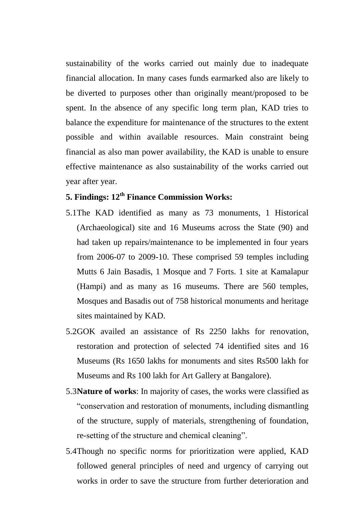sustainability of the works carried out mainly due to inadequate financial allocation. In many cases funds earmarked also are likely to be diverted to purposes other than originally meant/proposed to be spent. In the absence of any specific long term plan, KAD tries to balance the expenditure for maintenance of the structures to the extent possible and within available resources. Main constraint being financial as also man power availability, the KAD is unable to ensure effective maintenance as also sustainability of the works carried out year after year.

# **5. Findings: 12th Finance Commission Works:**

- 5.1The KAD identified as many as 73 monuments, 1 Historical (Archaeological) site and 16 Museums across the State (90) and had taken up repairs/maintenance to be implemented in four years from 2006-07 to 2009-10. These comprised 59 temples including Mutts 6 Jain Basadis, 1 Mosque and 7 Forts. 1 site at Kamalapur (Hampi) and as many as 16 museums. There are 560 temples, Mosques and Basadis out of 758 historical monuments and heritage sites maintained by KAD.
- 5.2GOK availed an assistance of Rs 2250 lakhs for renovation, restoration and protection of selected 74 identified sites and 16 Museums (Rs 1650 lakhs for monuments and sites Rs500 lakh for Museums and Rs 100 lakh for Art Gallery at Bangalore).
- 5.3**Nature of works**: In majority of cases, the works were classified as "conservation and restoration of monuments, including dismantling of the structure, supply of materials, strengthening of foundation, re-setting of the structure and chemical cleaning".
- 5.4Though no specific norms for prioritization were applied, KAD followed general principles of need and urgency of carrying out works in order to save the structure from further deterioration and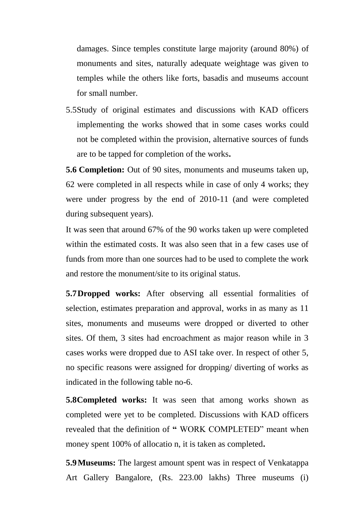damages. Since temples constitute large majority (around 80%) of monuments and sites, naturally adequate weightage was given to temples while the others like forts, basadis and museums account for small number.

5.5Study of original estimates and discussions with KAD officers implementing the works showed that in some cases works could not be completed within the provision, alternative sources of funds are to be tapped for completion of the works**.**

**5.6 Completion:** Out of 90 sites, monuments and museums taken up, 62 were completed in all respects while in case of only 4 works; they were under progress by the end of 2010-11 (and were completed during subsequent years).

It was seen that around 67% of the 90 works taken up were completed within the estimated costs. It was also seen that in a few cases use of funds from more than one sources had to be used to complete the work and restore the monument/site to its original status.

**5.7Dropped works:** After observing all essential formalities of selection, estimates preparation and approval, works in as many as 11 sites, monuments and museums were dropped or diverted to other sites. Of them, 3 sites had encroachment as major reason while in 3 cases works were dropped due to ASI take over. In respect of other 5, no specific reasons were assigned for dropping/ diverting of works as indicated in the following table no-6.

**5.8Completed works:** It was seen that among works shown as completed were yet to be completed. Discussions with KAD officers revealed that the definition of **"** WORK COMPLETED" meant when money spent 100% of allocatio n, it is taken as completed**.**

**5.9Museums:** The largest amount spent was in respect of Venkatappa Art Gallery Bangalore, (Rs. 223.00 lakhs) Three museums (i)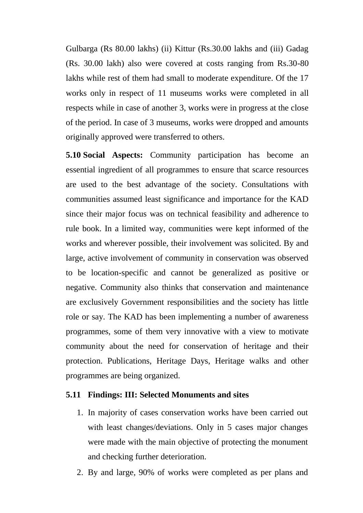Gulbarga (Rs 80.00 lakhs) (ii) Kittur (Rs.30.00 lakhs and (iii) Gadag (Rs. 30.00 lakh) also were covered at costs ranging from Rs.30-80 lakhs while rest of them had small to moderate expenditure. Of the 17 works only in respect of 11 museums works were completed in all respects while in case of another 3, works were in progress at the close of the period. In case of 3 museums, works were dropped and amounts originally approved were transferred to others.

**5.10 Social Aspects:** Community participation has become an essential ingredient of all programmes to ensure that scarce resources are used to the best advantage of the society. Consultations with communities assumed least significance and importance for the KAD since their major focus was on technical feasibility and adherence to rule book. In a limited way, communities were kept informed of the works and wherever possible, their involvement was solicited. By and large, active involvement of community in conservation was observed to be location-specific and cannot be generalized as positive or negative. Community also thinks that conservation and maintenance are exclusively Government responsibilities and the society has little role or say. The KAD has been implementing a number of awareness programmes, some of them very innovative with a view to motivate community about the need for conservation of heritage and their protection. Publications, Heritage Days, Heritage walks and other programmes are being organized.

#### **5.11 Findings: III: Selected Monuments and sites**

- 1. In majority of cases conservation works have been carried out with least changes/deviations. Only in 5 cases major changes were made with the main objective of protecting the monument and checking further deterioration.
- 2. By and large, 90% of works were completed as per plans and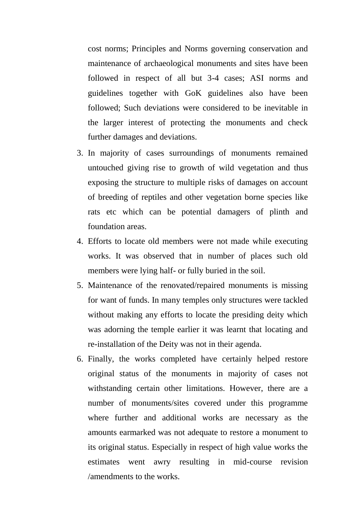cost norms; Principles and Norms governing conservation and maintenance of archaeological monuments and sites have been followed in respect of all but 3-4 cases; ASI norms and guidelines together with GoK guidelines also have been followed; Such deviations were considered to be inevitable in the larger interest of protecting the monuments and check further damages and deviations.

- 3. In majority of cases surroundings of monuments remained untouched giving rise to growth of wild vegetation and thus exposing the structure to multiple risks of damages on account of breeding of reptiles and other vegetation borne species like rats etc which can be potential damagers of plinth and foundation areas.
- 4. Efforts to locate old members were not made while executing works. It was observed that in number of places such old members were lying half- or fully buried in the soil.
- 5. Maintenance of the renovated/repaired monuments is missing for want of funds. In many temples only structures were tackled without making any efforts to locate the presiding deity which was adorning the temple earlier it was learnt that locating and re-installation of the Deity was not in their agenda.
- 6. Finally, the works completed have certainly helped restore original status of the monuments in majority of cases not withstanding certain other limitations. However, there are a number of monuments/sites covered under this programme where further and additional works are necessary as the amounts earmarked was not adequate to restore a monument to its original status. Especially in respect of high value works the estimates went awry resulting in mid-course revision /amendments to the works.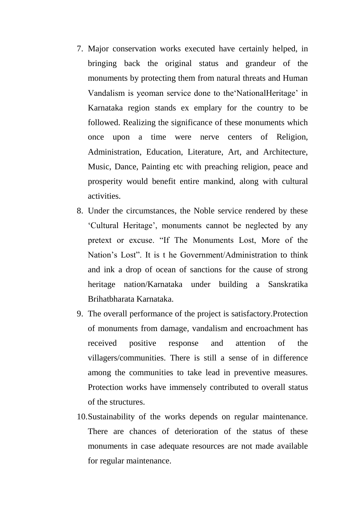- 7. Major conservation works executed have certainly helped, in bringing back the original status and grandeur of the monuments by protecting them from natural threats and Human Vandalism is yeoman service done to the"NationalHeritage" in Karnataka region stands ex emplary for the country to be followed. Realizing the significance of these monuments which once upon a time were nerve centers of Religion, Administration, Education, Literature, Art, and Architecture, Music, Dance, Painting etc with preaching religion, peace and prosperity would benefit entire mankind, along with cultural activities.
- 8. Under the circumstances, the Noble service rendered by these "Cultural Heritage", monuments cannot be neglected by any pretext or excuse. "If The Monuments Lost, More of the Nation"s Lost". It is t he Government/Administration to think and ink a drop of ocean of sanctions for the cause of strong heritage nation/Karnataka under building a Sanskratika Brihatbharata Karnataka.
- 9. The overall performance of the project is satisfactory.Protection of monuments from damage, vandalism and encroachment has received positive response and attention of the villagers/communities. There is still a sense of in difference among the communities to take lead in preventive measures. Protection works have immensely contributed to overall status of the structures.
- 10.Sustainability of the works depends on regular maintenance. There are chances of deterioration of the status of these monuments in case adequate resources are not made available for regular maintenance.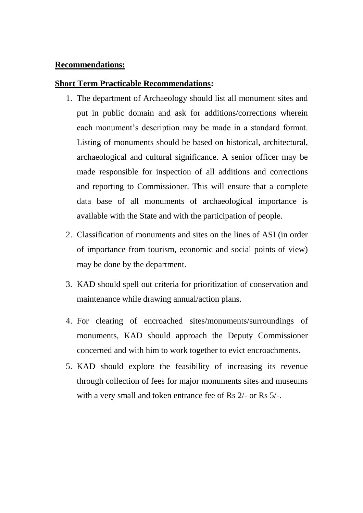#### **Recommendations:**

#### **Short Term Practicable Recommendations:**

- 1. The department of Archaeology should list all monument sites and put in public domain and ask for additions/corrections wherein each monument's description may be made in a standard format. Listing of monuments should be based on historical, architectural, archaeological and cultural significance. A senior officer may be made responsible for inspection of all additions and corrections and reporting to Commissioner. This will ensure that a complete data base of all monuments of archaeological importance is available with the State and with the participation of people.
- 2. Classification of monuments and sites on the lines of ASI (in order of importance from tourism, economic and social points of view) may be done by the department.
- 3. KAD should spell out criteria for prioritization of conservation and maintenance while drawing annual/action plans.
- 4. For clearing of encroached sites/monuments/surroundings of monuments, KAD should approach the Deputy Commissioner concerned and with him to work together to evict encroachments.
- 5. KAD should explore the feasibility of increasing its revenue through collection of fees for major monuments sites and museums with a very small and token entrance fee of Rs 2/- or Rs 5/-.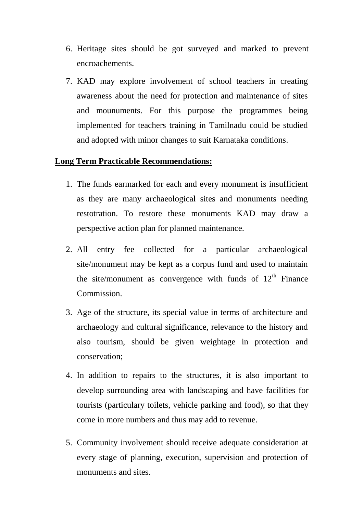- 6. Heritage sites should be got surveyed and marked to prevent encroachements.
- 7. KAD may explore involvement of school teachers in creating awareness about the need for protection and maintenance of sites and mounuments. For this purpose the programmes being implemented for teachers training in Tamilnadu could be studied and adopted with minor changes to suit Karnataka conditions.

## **Long Term Practicable Recommendations:**

- 1. The funds earmarked for each and every monument is insufficient as they are many archaeological sites and monuments needing restotration. To restore these monuments KAD may draw a perspective action plan for planned maintenance.
- 2. All entry fee collected for a particular archaeological site/monument may be kept as a corpus fund and used to maintain the site/monument as convergence with funds of  $12<sup>th</sup>$  Finance Commission.
- 3. Age of the structure, its special value in terms of architecture and archaeology and cultural significance, relevance to the history and also tourism, should be given weightage in protection and conservation;
- 4. In addition to repairs to the structures, it is also important to develop surrounding area with landscaping and have facilities for tourists (particulary toilets, vehicle parking and food), so that they come in more numbers and thus may add to revenue.
- 5. Community involvement should receive adequate consideration at every stage of planning, execution, supervision and protection of monuments and sites.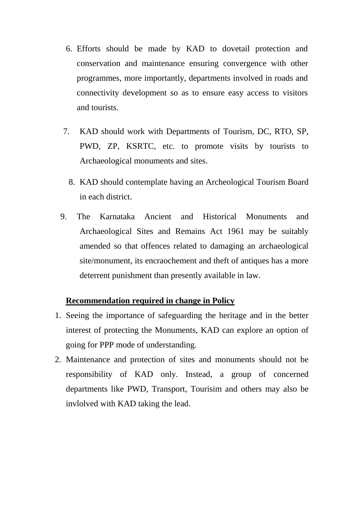- 6. Efforts should be made by KAD to dovetail protection and conservation and maintenance ensuring convergence with other programmes, more importantly, departments involved in roads and connectivity development so as to ensure easy access to visitors and tourists.
- 7. KAD should work with Departments of Tourism, DC, RTO, SP, PWD, ZP, KSRTC, etc. to promote visits by tourists to Archaeological monuments and sites.
	- 8. KAD should contemplate having an Archeological Tourism Board in each district.
- 9. The Karnataka Ancient and Historical Monuments and Archaeological Sites and Remains Act 1961 may be suitably amended so that offences related to damaging an archaeological site/monument, its encraochement and theft of antiques has a more deterrent punishment than presently available in law.

## **Recommendation required in change in Policy**

- 1. Seeing the importance of safeguarding the heritage and in the better interest of protecting the Monuments, KAD can explore an option of going for PPP mode of understanding.
- 2. Maintenance and protection of sites and monuments should not be responsibility of KAD only. Instead, a group of concerned departments like PWD, Transport, Tourisim and others may also be invlolved with KAD taking the lead.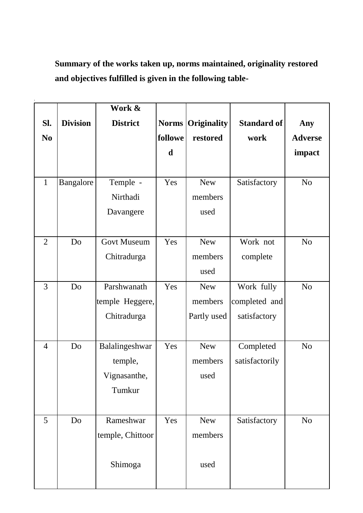**Summary of the works taken up, norms maintained, originality restored and objectives fulfilled is given in the following table-**

|                |                 | Work &             |              |             |                    |                |
|----------------|-----------------|--------------------|--------------|-------------|--------------------|----------------|
| SI.            | <b>Division</b> | <b>District</b>    | <b>Norms</b> | Originality | <b>Standard of</b> | Any            |
| N <sub>0</sub> |                 |                    | followe      | restored    | work               | <b>Adverse</b> |
|                |                 |                    | d            |             |                    | impact         |
|                |                 |                    |              |             |                    |                |
| $\mathbf{1}$   | Bangalore       | Temple -           | Yes          | <b>New</b>  | Satisfactory       | N <sub>o</sub> |
|                |                 | Nirthadi           |              | members     |                    |                |
|                |                 | Davangere          |              | used        |                    |                |
|                |                 |                    |              |             |                    |                |
| $\overline{2}$ | Do              | <b>Govt Museum</b> | Yes          | <b>New</b>  | Work not           | N <sub>o</sub> |
|                |                 | Chitradurga        |              | members     | complete           |                |
|                |                 |                    |              | used        |                    |                |
| 3              | Do              | Parshwanath        | Yes          | <b>New</b>  | Work fully         | N <sub>o</sub> |
|                |                 | temple Heggere,    |              | members     | completed and      |                |
|                |                 | Chitradurga        |              | Partly used | satisfactory       |                |
|                |                 |                    |              |             |                    |                |
| $\overline{4}$ | Do              | Balalingeshwar     | Yes          | <b>New</b>  | Completed          | N <sub>o</sub> |
|                |                 | temple,            |              | members     | satisfactorily     |                |
|                |                 | Vignasanthe,       |              | used        |                    |                |
|                |                 | Tumkur             |              |             |                    |                |
|                |                 |                    |              |             |                    |                |
| 5              | Do              | Rameshwar          | Yes          | <b>New</b>  | Satisfactory       | N <sub>o</sub> |
|                |                 | temple, Chittoor   |              | members     |                    |                |
|                |                 |                    |              |             |                    |                |
|                |                 | Shimoga            |              | used        |                    |                |
|                |                 |                    |              |             |                    |                |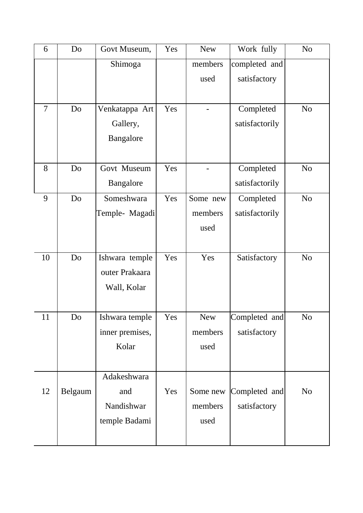| 6              | Do      | Govt Museum,     | Yes | <b>New</b> | Work fully     | N <sub>o</sub> |
|----------------|---------|------------------|-----|------------|----------------|----------------|
|                |         | Shimoga          |     | members    | completed and  |                |
|                |         |                  |     | used       | satisfactory   |                |
|                |         |                  |     |            |                |                |
| $\overline{7}$ | Do      | Venkatappa Art   | Yes |            | Completed      | N <sub>o</sub> |
|                |         | Gallery,         |     |            | satisfactorily |                |
|                |         | <b>Bangalore</b> |     |            |                |                |
|                |         |                  |     |            |                |                |
| 8              | Do      | Govt Museum      | Yes |            | Completed      | N <sub>0</sub> |
|                |         | Bangalore        |     |            | satisfactorily |                |
| 9              | Do      | Someshwara       | Yes | Some new   | Completed      | N <sub>0</sub> |
|                |         | Temple- Magadi   |     | members    | satisfactorily |                |
|                |         |                  |     | used       |                |                |
|                |         |                  |     |            |                |                |
| 10             | Do      | Ishwara temple   | Yes | Yes        | Satisfactory   | N <sub>0</sub> |
|                |         | outer Prakaara   |     |            |                |                |
|                |         | Wall, Kolar      |     |            |                |                |
|                |         |                  |     |            |                |                |
| 11             | Do      | Ishwara temple   | Yes | <b>New</b> | Completed and  | N <sub>0</sub> |
|                |         | inner premises,  |     | members    | satisfactory   |                |
|                |         | Kolar            |     | used       |                |                |
|                |         |                  |     |            |                |                |
|                |         | Adakeshwara      |     |            |                |                |
| 12             | Belgaum | and              | Yes | Some new   | Completed and  | N <sub>o</sub> |
|                |         | Nandishwar       |     | members    | satisfactory   |                |
|                |         | temple Badami    |     | used       |                |                |
|                |         |                  |     |            |                |                |
|                |         |                  |     |            |                |                |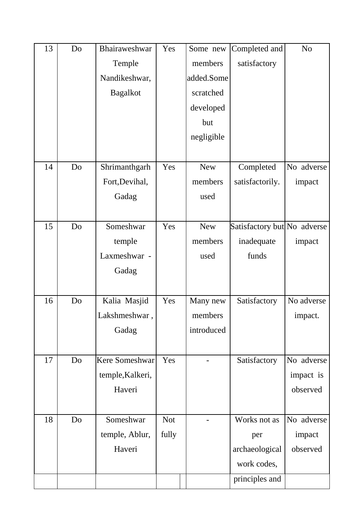| 13 | Do | Bhairaweshwar         | Yes        | Some new   | Completed and               | N <sub>o</sub> |
|----|----|-----------------------|------------|------------|-----------------------------|----------------|
|    |    | Temple                |            | members    | satisfactory                |                |
|    |    | Nandikeshwar,         |            | added.Some |                             |                |
|    |    | <b>Bagalkot</b>       |            | scratched  |                             |                |
|    |    |                       |            | developed  |                             |                |
|    |    |                       |            | but        |                             |                |
|    |    |                       |            | negligible |                             |                |
|    |    |                       |            |            |                             |                |
| 14 | Do | Shrimanthgarh         | Yes        | <b>New</b> | Completed                   | No adverse     |
|    |    | Fort, Devihal,        |            | members    | satisfactorily.             | impact         |
|    |    | Gadag                 |            | used       |                             |                |
|    |    |                       |            |            |                             |                |
| 15 | Do | Someshwar             | Yes        | <b>New</b> | Satisfactory but No adverse |                |
|    |    | temple                |            | members    | inadequate                  | impact         |
|    |    | Laxmeshwar -          |            | used       | funds                       |                |
|    |    | Gadag                 |            |            |                             |                |
|    |    |                       |            |            |                             |                |
| 16 | Do | Kalia Masjid          | Yes        | Many new   | Satisfactory                | No adverse     |
|    |    | Lakshmeshwar,         |            | members    |                             | impact.        |
|    |    | Gadag                 |            | introduced |                             |                |
|    |    |                       |            |            |                             |                |
| 17 | Do | <b>Kere Someshwar</b> | Yes        |            | Satisfactory                | No adverse     |
|    |    | temple, Kalkeri,      |            |            |                             | impact is      |
|    |    | Haveri                |            |            |                             | observed       |
|    |    |                       |            |            |                             |                |
| 18 | Do | Someshwar             | <b>Not</b> |            | Works not as                | No adverse     |
|    |    | temple, Ablur,        | fully      |            | per                         | impact         |
|    |    | Haveri                |            |            | archaeological              | observed       |
|    |    |                       |            |            | work codes,                 |                |
|    |    |                       |            |            | principles and              |                |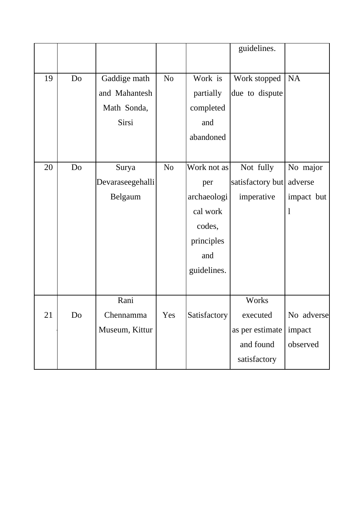|    |    |                  |                |              | guidelines.      |              |
|----|----|------------------|----------------|--------------|------------------|--------------|
|    |    |                  |                |              |                  |              |
| 19 | Do | Gaddige math     | N <sub>0</sub> | Work is      | Work stopped     | <b>NA</b>    |
|    |    | and Mahantesh    |                | partially    | due to dispute   |              |
|    |    | Math Sonda,      |                | completed    |                  |              |
|    |    | Sirsi            |                | and          |                  |              |
|    |    |                  |                | abandoned    |                  |              |
|    |    |                  |                |              |                  |              |
| 20 | Do | Surya            | N <sub>o</sub> | Work not as  | Not fully        | No major     |
|    |    | Devaraseegehalli |                | per          | satisfactory but | adverse      |
|    |    | Belgaum          |                | archaeologi  | imperative       | impact but   |
|    |    |                  |                | cal work     |                  | $\mathbf{1}$ |
|    |    |                  |                | codes,       |                  |              |
|    |    |                  |                | principles   |                  |              |
|    |    |                  |                | and          |                  |              |
|    |    |                  |                | guidelines.  |                  |              |
|    |    |                  |                |              |                  |              |
|    |    | Rani             |                |              | Works            |              |
| 21 | Do | Chennamma        | Yes            | Satisfactory | executed         | No adverse   |
|    |    | Museum, Kittur   |                |              | as per estimate  | impact       |
|    |    |                  |                |              | and found        | observed     |
|    |    |                  |                |              | satisfactory     |              |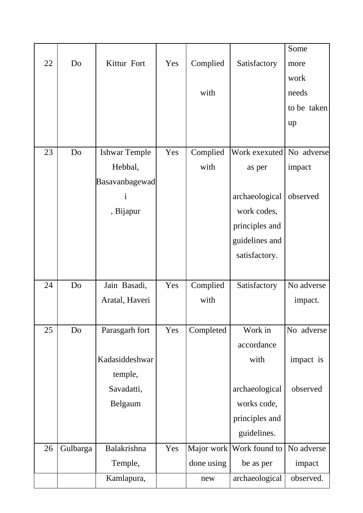|    |                |                      |     |            |                | Some        |
|----|----------------|----------------------|-----|------------|----------------|-------------|
| 22 | Do             | Kittur Fort          | Yes | Complied   | Satisfactory   | more        |
|    |                |                      |     |            |                | work        |
|    |                |                      |     | with       |                | needs       |
|    |                |                      |     |            |                | to be taken |
|    |                |                      |     |            |                | up          |
|    |                |                      |     |            |                |             |
| 23 | D <sub>o</sub> | <b>Ishwar Temple</b> | Yes | Complied   | Work exexuted  | No adverse  |
|    |                | Hebbal,              |     | with       | as per         | impact      |
|    |                | Basavanbagewad       |     |            |                |             |
|    |                | $\mathbf{i}$         |     |            | archaeological | observed    |
|    |                | , Bijapur            |     |            | work codes,    |             |
|    |                |                      |     |            | principles and |             |
|    |                |                      |     |            | guidelines and |             |
|    |                |                      |     |            | satisfactory.  |             |
|    |                |                      |     |            |                |             |
| 24 | D <sub>o</sub> | Jain Basadi,         | Yes | Complied   | Satisfactory   | No adverse  |
|    |                | Aratal, Haveri       |     | with       |                | impact.     |
|    |                |                      |     |            |                |             |
| 25 | Do             | Parasgarh fort       | Yes | Completed  | Work in        | No adverse  |
|    |                |                      |     |            | accordance     |             |
|    |                | Kadasiddeshwar       |     |            | with           | impact is   |
|    |                | temple,              |     |            |                |             |
|    |                |                      |     |            |                |             |
|    |                | Savadatti,           |     |            | archaeological | observed    |
|    |                | Belgaum              |     |            | works code,    |             |
|    |                |                      |     |            | principles and |             |
|    |                |                      |     |            | guidelines.    |             |
| 26 | Gulbarga       | Balakrishna          | Yes | Major work | Work found to  | No adverse  |
|    |                | Temple,              |     | done using | be as per      | impact      |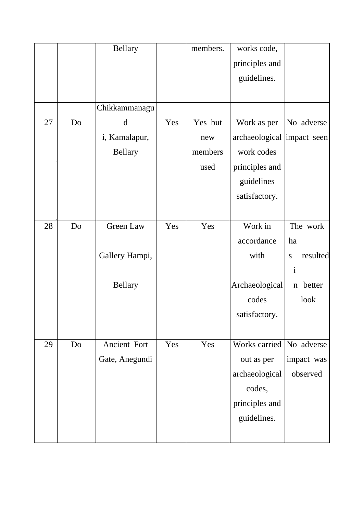|    |    | <b>Bellary</b> |     | members. | works code,                |                       |
|----|----|----------------|-----|----------|----------------------------|-----------------------|
|    |    |                |     |          | principles and             |                       |
|    |    |                |     |          | guidelines.                |                       |
|    |    |                |     |          |                            |                       |
|    |    | Chikkammanagu  |     |          |                            |                       |
| 27 | Do | d              | Yes | Yes but  | Work as per                | No adverse            |
|    |    | i, Kamalapur,  |     | new      | archaeological impact seen |                       |
|    |    | <b>Bellary</b> |     | members  | work codes                 |                       |
|    |    |                |     | used     | principles and             |                       |
|    |    |                |     |          | guidelines                 |                       |
|    |    |                |     |          | satisfactory.              |                       |
|    |    |                |     |          |                            |                       |
| 28 | Do | Green Law      | Yes | Yes      | Work in                    | The work              |
|    |    |                |     |          | accordance                 | ha                    |
|    |    | Gallery Hampi, |     |          | with                       | resulted<br>${\bf S}$ |
|    |    |                |     |          |                            | $\mathbf{i}$          |
|    |    | <b>Bellary</b> |     |          | Archaeological             | better<br>$\mathbf n$ |
|    |    |                |     |          | codes                      | look                  |
|    |    |                |     |          | satisfactory.              |                       |
|    |    |                |     |          |                            |                       |
| 29 | Do | Ancient Fort   | Yes | Yes      | Works carried No adverse   |                       |
|    |    | Gate, Anegundi |     |          | out as per                 | impact was            |
|    |    |                |     |          | archaeological             | observed              |
|    |    |                |     |          | codes,                     |                       |
|    |    |                |     |          | principles and             |                       |
|    |    |                |     |          | guidelines.                |                       |
|    |    |                |     |          |                            |                       |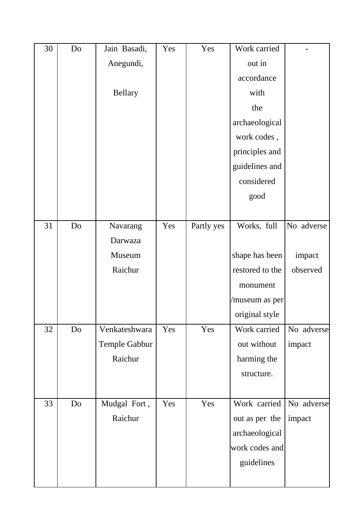| 30 | Do | Jain Basadi,  | Yes | Yes        | Work carried    |            |
|----|----|---------------|-----|------------|-----------------|------------|
|    |    | Anegundi,     |     |            | out in          |            |
|    |    |               |     |            | accordance      |            |
|    |    | Bellary       |     |            | with            |            |
|    |    |               |     |            | the             |            |
|    |    |               |     |            | archaeological  |            |
|    |    |               |     |            | work codes,     |            |
|    |    |               |     |            | principles and  |            |
|    |    |               |     |            | guidelines and  |            |
|    |    |               |     |            | considered      |            |
|    |    |               |     |            | good            |            |
|    |    |               |     |            |                 |            |
| 31 | Do | Navarang      | Yes | Partly yes | Works, full     | No adverse |
|    |    | Darwaza       |     |            |                 |            |
|    |    | Museum        |     |            | shape has been  | impact     |
|    |    | Raichur       |     |            | restored to the | observed   |
|    |    |               |     |            | monument        |            |
|    |    |               |     |            | /museum as per  |            |
|    |    |               |     |            | original style  |            |
| 32 | Do | Venkateshwara | Yes | Yes        | Work carried    | No adverse |
|    |    | Temple Gabbur |     |            | out without     | impact     |
|    |    | Raichur       |     |            | harming the     |            |
|    |    |               |     |            | structure.      |            |
|    |    |               |     |            |                 |            |
| 33 | Do | Mudgal Fort,  | Yes | Yes        | Work carried    | No adverse |
|    |    | Raichur       |     |            | out as per the  | impact     |
|    |    |               |     |            | archaeological  |            |
|    |    |               |     |            | work codes and  |            |
|    |    |               |     |            | guidelines      |            |
|    |    |               |     |            |                 |            |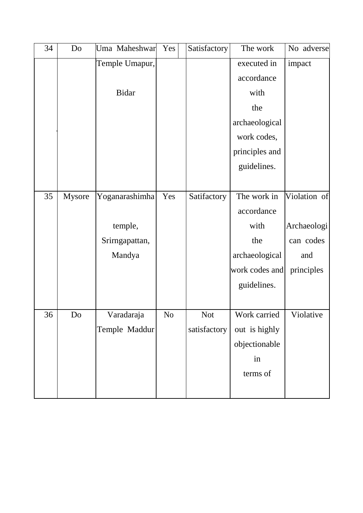| 34 | Do     | Uma Maheshwar  | Yes            | Satisfactory | The work       | No adverse   |
|----|--------|----------------|----------------|--------------|----------------|--------------|
|    |        | Temple Umapur, |                |              | executed in    | impact       |
|    |        |                |                |              | accordance     |              |
|    |        | <b>Bidar</b>   |                |              | with           |              |
|    |        |                |                |              | the            |              |
|    |        |                |                |              | archaeological |              |
|    |        |                |                |              | work codes,    |              |
|    |        |                |                |              | principles and |              |
|    |        |                |                |              | guidelines.    |              |
|    |        |                |                |              |                |              |
| 35 | Mysore | Yoganarashimha | Yes            | Satifactory  | The work in    | Violation of |
|    |        |                |                |              | accordance     |              |
|    |        | temple,        |                |              | with           | Archaeologi  |
|    |        | Srirngapattan, |                |              | the            | can codes    |
|    |        | Mandya         |                |              | archaeological | and          |
|    |        |                |                |              | work codes and | principles   |
|    |        |                |                |              | guidelines.    |              |
|    |        |                |                |              |                |              |
| 36 | Do     | Varadaraja     | N <sub>o</sub> | <b>Not</b>   | Work carried   | Violative    |
|    |        | Temple Maddur  |                | satisfactory | out is highly  |              |
|    |        |                |                |              | objectionable  |              |
|    |        |                |                |              | in             |              |
|    |        |                |                |              | terms of       |              |
|    |        |                |                |              |                |              |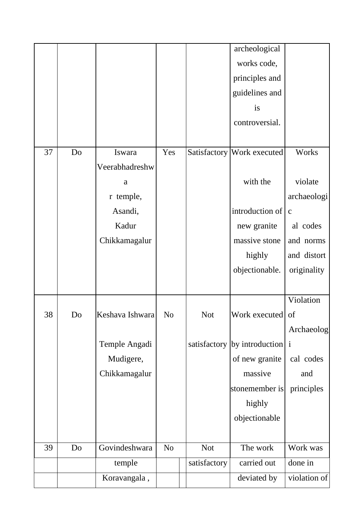|    |    |                 |                |              | archeological                      |              |
|----|----|-----------------|----------------|--------------|------------------------------------|--------------|
|    |    |                 |                |              | works code,                        |              |
|    |    |                 |                |              | principles and                     |              |
|    |    |                 |                |              | guidelines and                     |              |
|    |    |                 |                |              | <i>is</i>                          |              |
|    |    |                 |                |              | controversial.                     |              |
|    |    |                 |                |              |                                    |              |
| 37 | Do | Iswara          | Yes            |              | Satisfactory Work executed         | Works        |
|    |    | Veerabhadreshw  |                |              |                                    |              |
|    |    | $\rm{a}$        |                |              | with the                           | violate      |
|    |    | r temple,       |                |              |                                    | archaeologi  |
|    |    | Asandi,         |                |              | introduction of                    | $\mathbf{C}$ |
|    |    | Kadur           |                |              | new granite                        | al codes     |
|    |    | Chikkamagalur   |                |              | massive stone                      | and norms    |
|    |    |                 |                |              | highly                             | and distort  |
|    |    |                 |                |              | objectionable.                     | originality  |
|    |    |                 |                |              |                                    |              |
|    |    |                 |                |              |                                    | Violation    |
| 38 | Do | Keshava Ishwara | N <sub>0</sub> | Not          | Work executed of                   |              |
|    |    |                 |                |              |                                    | Archaeolog   |
|    |    | Temple Angadi   |                |              | satisfactory   by introduction   i |              |
|    |    | Mudigere,       |                |              | of new granite                     | cal codes    |
|    |    | Chikkamagalur   |                |              | massive                            | and          |
|    |    |                 |                |              | stonemember is                     | principles   |
|    |    |                 |                |              | highly                             |              |
|    |    |                 |                |              | objectionable                      |              |
|    |    |                 |                |              |                                    |              |
| 39 | Do | Govindeshwara   | N <sub>o</sub> | <b>Not</b>   | The work                           | Work was     |
|    |    | temple          |                | satisfactory | carried out                        | done in      |
|    |    | Koravangala,    |                |              | deviated by                        | violation of |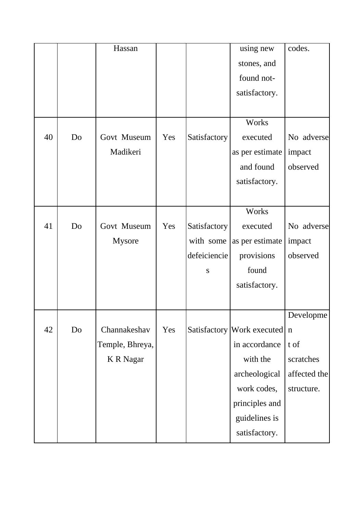|    |    | Hassan           |     |              | using new                    | codes.       |
|----|----|------------------|-----|--------------|------------------------------|--------------|
|    |    |                  |     |              | stones, and                  |              |
|    |    |                  |     |              | found not-                   |              |
|    |    |                  |     |              | satisfactory.                |              |
|    |    |                  |     |              |                              |              |
|    |    |                  |     |              | Works                        |              |
| 40 | Do | Govt Museum      | Yes | Satisfactory | executed                     | No adverse   |
|    |    | Madikeri         |     |              | as per estimate              | impact       |
|    |    |                  |     |              | and found                    | observed     |
|    |    |                  |     |              | satisfactory.                |              |
|    |    |                  |     |              |                              |              |
|    |    |                  |     |              |                              |              |
|    |    |                  |     |              | Works                        |              |
| 41 | Do | Govt Museum      | Yes | Satisfactory | executed                     | No adverse   |
|    |    | Mysore           |     | with some    | as per estimate              | impact       |
|    |    |                  |     | defeiciencie | provisions                   | observed     |
|    |    |                  |     | ${\bf S}$    | found                        |              |
|    |    |                  |     |              | satisfactory.                |              |
|    |    |                  |     |              |                              |              |
|    |    |                  |     |              |                              | Developme    |
| 42 | Do | Channakeshav     | Yes |              | Satisfactory Work executed n |              |
|    |    | Temple, Bhreya,  |     |              | in accordance                | t of         |
|    |    | <b>K</b> R Nagar |     |              | with the                     | scratches    |
|    |    |                  |     |              | archeological                | affected the |
|    |    |                  |     |              | work codes,                  | structure.   |
|    |    |                  |     |              | principles and               |              |
|    |    |                  |     |              | guidelines is                |              |
|    |    |                  |     |              | satisfactory.                |              |
|    |    |                  |     |              |                              |              |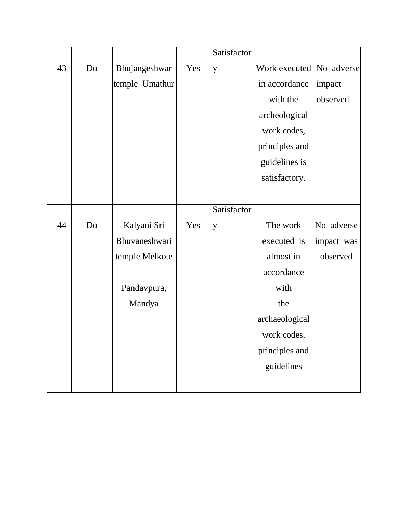|    |    |                |     | Satisfactor |                          |            |
|----|----|----------------|-----|-------------|--------------------------|------------|
| 43 | Do | Bhujangeshwar  | Yes | y           | Work executed No adverse |            |
|    |    | temple Umathur |     |             | in accordance            | impact     |
|    |    |                |     |             | with the                 | observed   |
|    |    |                |     |             | archeological            |            |
|    |    |                |     |             | work codes,              |            |
|    |    |                |     |             | principles and           |            |
|    |    |                |     |             | guidelines is            |            |
|    |    |                |     |             | satisfactory.            |            |
|    |    |                |     |             |                          |            |
|    |    |                |     | Satisfactor |                          |            |
| 44 | Do | Kalyani Sri    | Yes | y           | The work                 | No adverse |
|    |    | Bhuvaneshwari  |     |             | executed is              | impact was |
|    |    | temple Melkote |     |             | almost in                | observed   |
|    |    |                |     |             | accordance               |            |
|    |    | Pandavpura,    |     |             | with                     |            |
|    |    | Mandya         |     |             | the                      |            |
|    |    |                |     |             | archaeological           |            |
|    |    |                |     |             | work codes,              |            |
|    |    |                |     |             | principles and           |            |
|    |    |                |     |             | guidelines               |            |
|    |    |                |     |             |                          |            |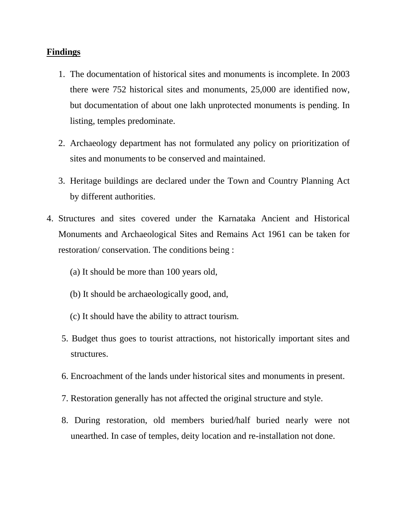#### **Findings**

- 1. The documentation of historical sites and monuments is incomplete. In 2003 there were 752 historical sites and monuments, 25,000 are identified now, but documentation of about one lakh unprotected monuments is pending. In listing, temples predominate.
- 2. Archaeology department has not formulated any policy on prioritization of sites and monuments to be conserved and maintained.
- 3. Heritage buildings are declared under the Town and Country Planning Act by different authorities.
- 4. Structures and sites covered under the Karnataka Ancient and Historical Monuments and Archaeological Sites and Remains Act 1961 can be taken for restoration/ conservation. The conditions being :
	- (a) It should be more than 100 years old,
	- (b) It should be archaeologically good, and,
	- (c) It should have the ability to attract tourism.
	- 5. Budget thus goes to tourist attractions, not historically important sites and structures.
	- 6. Encroachment of the lands under historical sites and monuments in present.
	- 7. Restoration generally has not affected the original structure and style.
	- 8. During restoration, old members buried/half buried nearly were not unearthed. In case of temples, deity location and re-installation not done.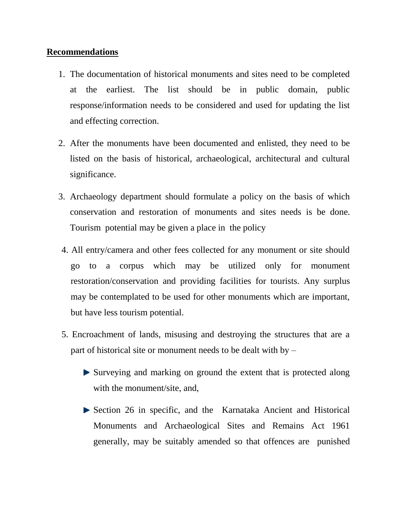## **Recommendations**

- 1. The documentation of historical monuments and sites need to be completed at the earliest. The list should be in public domain, public response/information needs to be considered and used for updating the list and effecting correction.
- 2. After the monuments have been documented and enlisted, they need to be listed on the basis of historical, archaeological, architectural and cultural significance.
- 3. Archaeology department should formulate a policy on the basis of which conservation and restoration of monuments and sites needs is be done. Tourism potential may be given a place in the policy
- 4. All entry/camera and other fees collected for any monument or site should go to a corpus which may be utilized only for monument restoration/conservation and providing facilities for tourists. Any surplus may be contemplated to be used for other monuments which are important, but have less tourism potential.
- 5. Encroachment of lands, misusing and destroying the structures that are a part of historical site or monument needs to be dealt with by –
	- Surveying and marking on ground the extent that is protected along with the monument/site, and,
	- Section 26 in specific, and the Karnataka Ancient and Historical Monuments and Archaeological Sites and Remains Act 1961 generally, may be suitably amended so that offences are punished